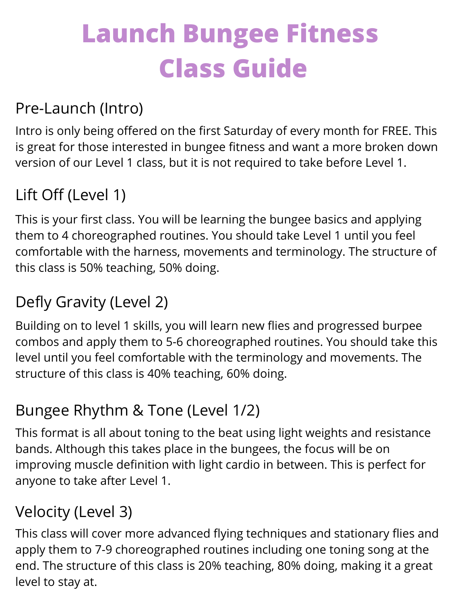# **Launch Bungee Fitness Class Guide**

#### Pre-Launch (Intro)

Intro is only being offered on the first Saturday of every month for FREE. This is great for those interested in bungee fitness and want a more broken down version of our Level 1 class, but it is not required to take before Level 1.

## Lift Off (Level 1)

This is your first class. You will be learning the bungee basics and applying them to 4 choreographed routines. You should take Level 1 until you feel comfortable with the harness, movements and terminology. The structure of this class is 50% teaching, 50% doing.

# Defly Gravity (Level 2)

Building on to level 1 skills, you will learn new flies and progressed burpee combos and apply them to 5-6 choreographed routines. You should take this level until you feel comfortable with the terminology and movements. The structure of this class is 40% teaching, 60% doing.

## Bungee Rhythm & Tone (Level 1/2)

This format is all about toning to the beat using light weights and resistance bands. Although this takes place in the bungees, the focus will be on improving muscle definition with light cardio in between. This is perfect for anyone to take after Level 1.

## Velocity (Level 3)

This class will cover more advanced flying techniques and stationary flies and apply them to 7-9 choreographed routines including one toning song at the end. The structure of this class is 20% teaching, 80% doing, making it a great level to stay at.